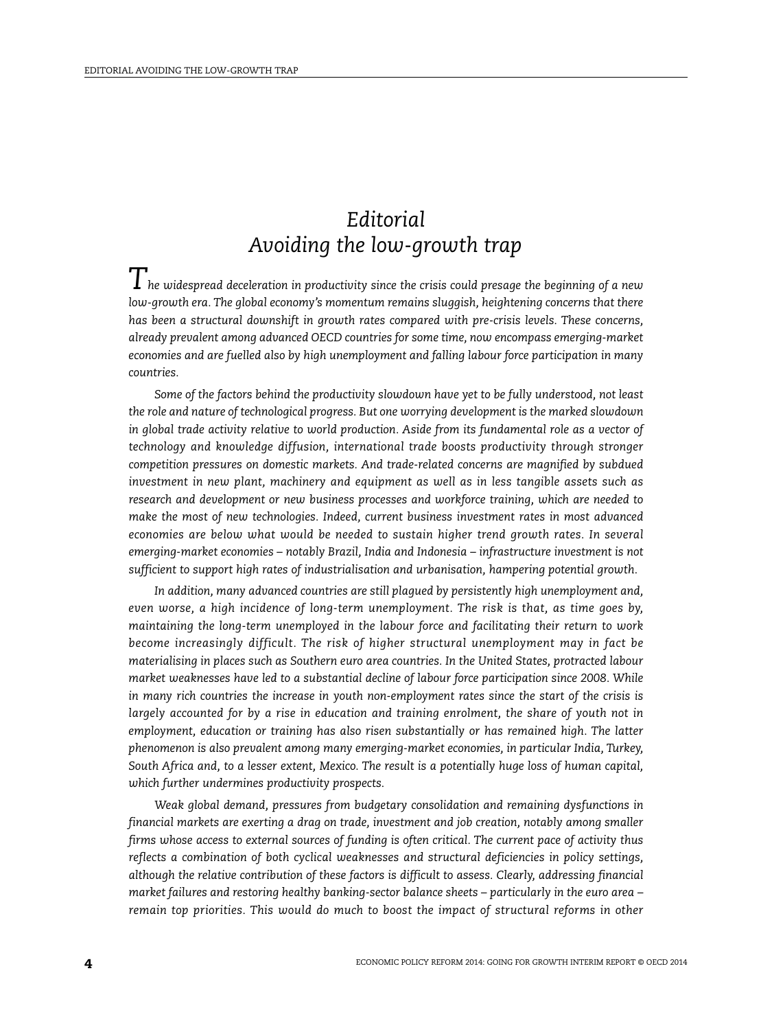## *Editorial Avoiding the low-growth trap*

*The widespread deceleration in productivity since the crisis could presage the beginning of a new low-growth era. The global economy's momentum remains sluggish, heightening concerns that there has been a structural downshift in growth rates compared with pre-crisis levels. These concerns, already prevalent among advanced OECD countries for some time, now encompass emerging-market economies and are fuelled also by high unemployment and falling labour force participation in many countries.*

*Some of the factors behind the productivity slowdown have yet to be fully understood, not least the role and nature of technological progress. But one worrying development is the marked slowdown in global trade activity relative to world production. Aside from its fundamental role as a vector of technology and knowledge diffusion, international trade boosts productivity through stronger competition pressures on domestic markets. And trade-related concerns are magnified by subdued investment in new plant, machinery and equipment as well as in less tangible assets such as research and development or new business processes and workforce training, which are needed to make the most of new technologies. Indeed, current business investment rates in most advanced economies are below what would be needed to sustain higher trend growth rates. In several emerging-market economies – notably Brazil, India and Indonesia – infrastructure investment is not sufficient to support high rates of industrialisation and urbanisation, hampering potential growth.*

*In addition, many advanced countries are still plagued by persistently high unemployment and, even worse, a high incidence of long-term unemployment. The risk is that, as time goes by, maintaining the long-term unemployed in the labour force and facilitating their return to work become increasingly difficult. The risk of higher structural unemployment may in fact be materialising in places such as Southern euro area countries. In the United States, protracted labour market weaknesses have led to a substantial decline of labour force participation since 2008. While in many rich countries the increase in youth non-employment rates since the start of the crisis is largely accounted for by a rise in education and training enrolment, the share of youth not in employment, education or training has also risen substantially or has remained high. The latter phenomenon is also prevalent among many emerging-market economies, in particular India, Turkey, South Africa and, to a lesser extent, Mexico. The result is a potentially huge loss of human capital, which further undermines productivity prospects.*

*Weak global demand, pressures from budgetary consolidation and remaining dysfunctions in financial markets are exerting a drag on trade, investment and job creation, notably among smaller firms whose access to external sources of funding is often critical. The current pace of activity thus reflects a combination of both cyclical weaknesses and structural deficiencies in policy settings, although the relative contribution of these factors is difficult to assess. Clearly, addressing financial market failures and restoring healthy banking-sector balance sheets – particularly in the euro area – remain top priorities. This would do much to boost the impact of structural reforms in other*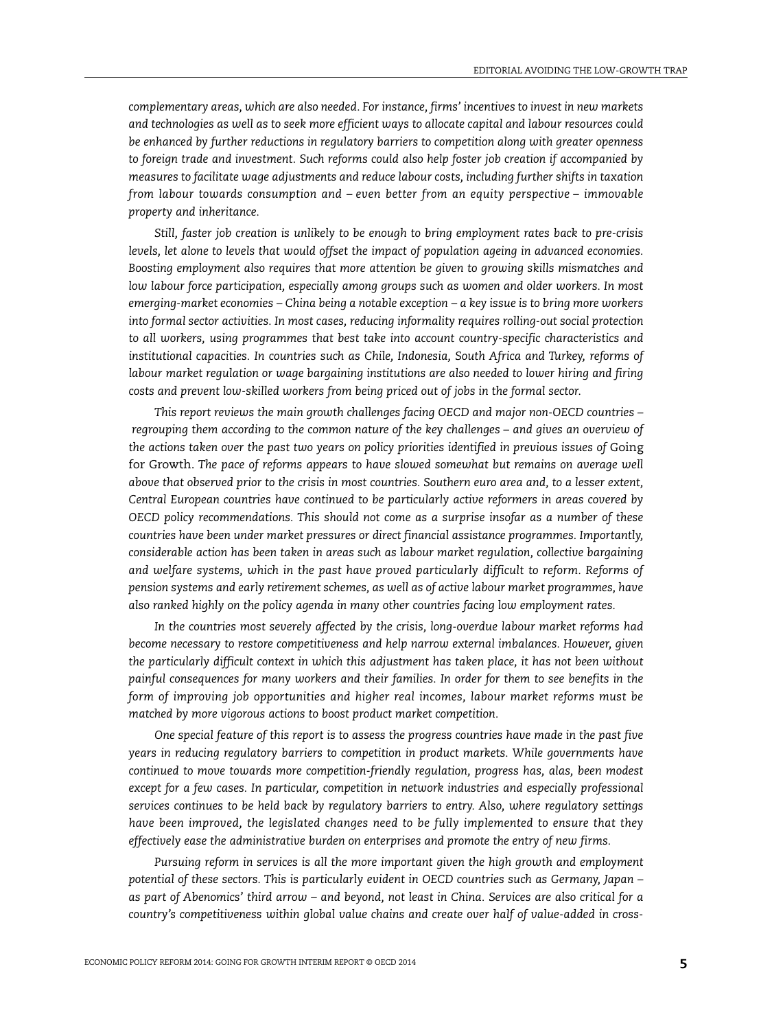*complementary areas, which are also needed. For instance, firms' incentives to invest in new markets and technologies as well as to seek more efficient ways to allocate capital and labour resources could be enhanced by further reductions in regulatory barriers to competition along with greater openness to foreign trade and investment. Such reforms could also help foster job creation if accompanied by measures to facilitate wage adjustments and reduce labour costs, including further shifts in taxation from labour towards consumption and – even better from an equity perspective – immovable property and inheritance.*

*Still, faster job creation is unlikely to be enough to bring employment rates back to pre-crisis levels, let alone to levels that would offset the impact of population ageing in advanced economies. Boosting employment also requires that more attention be given to growing skills mismatches and low labour force participation, especially among groups such as women and older workers. In most emerging-market economies – China being a notable exception – a key issue is to bring more workers into formal sector activities. In most cases, reducing informality requires rolling-out social protection to all workers, using programmes that best take into account country-specific characteristics and institutional capacities. In countries such as Chile, Indonesia, South Africa and Turkey, reforms of labour market regulation or wage bargaining institutions are also needed to lower hiring and firing costs and prevent low-skilled workers from being priced out of jobs in the formal sector.*

*This report reviews the main growth challenges facing OECD and major non-OECD countries – regrouping them according to the common nature of the key challenges – and gives an overview of the actions taken over the past two years on policy priorities identified in previous issues of* Going for Growth. *The pace of reforms appears to have slowed somewhat but remains on average well above that observed prior to the crisis in most countries. Southern euro area and, to a lesser extent, Central European countries have continued to be particularly active reformers in areas covered by OECD policy recommendations. This should not come as a surprise insofar as a number of these countries have been under market pressures or direct financial assistance programmes. Importantly, considerable action has been taken in areas such as labour market regulation, collective bargaining and welfare systems, which in the past have proved particularly difficult to reform. Reforms of pension systems and early retirement schemes, as well as of active labour market programmes, have also ranked highly on the policy agenda in many other countries facing low employment rates.*

*In the countries most severely affected by the crisis, long-overdue labour market reforms had become necessary to restore competitiveness and help narrow external imbalances. However, given the particularly difficult context in which this adjustment has taken place, it has not been without painful consequences for many workers and their families. In order for them to see benefits in the form of improving job opportunities and higher real incomes, labour market reforms must be matched by more vigorous actions to boost product market competition.*

*One special feature of this report is to assess the progress countries have made in the past five years in reducing regulatory barriers to competition in product markets. While governments have continued to move towards more competition-friendly regulation, progress has, alas, been modest except for a few cases. In particular, competition in network industries and especially professional services continues to be held back by regulatory barriers to entry. Also, where regulatory settings have been improved, the legislated changes need to be fully implemented to ensure that they effectively ease the administrative burden on enterprises and promote the entry of new firms.*

*Pursuing reform in services is all the more important given the high growth and employment potential of these sectors. This is particularly evident in OECD countries such as Germany, Japan – as part of Abenomics' third arrow – and beyond, not least in China. Services are also critical for a country's competitiveness within global value chains and create over half of value-added in cross-*